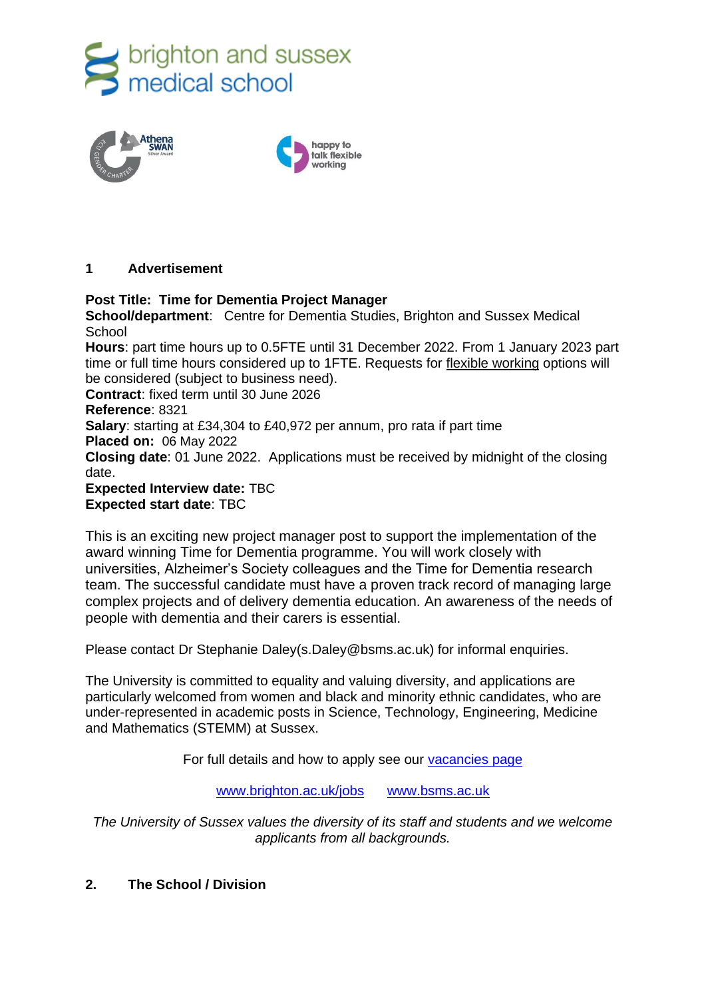



## **1 Advertisement**

## **Post Title: Time for Dementia Project Manager**

**School/department**: Centre for Dementia Studies, Brighton and Sussex Medical **School** 

**Hours**: part time hours up to 0.5FTE until 31 December 2022. From 1 January 2023 part time or full time hours considered up to 1FTE. Requests for [flexible working](http://www.sussex.ac.uk/humanresources/personnel/flexible-working) options will be considered (subject to business need).

**Contract**: fixed term until 30 June 2026

**Reference**: 8321

**Salary**: starting at £34,304 to £40,972 per annum, pro rata if part time

**Placed on:** 06 May 2022

**Closing date**: 01 June 2022. Applications must be received by midnight of the closing date.

**Expected Interview date:** TBC **Expected start date**: TBC

This is an exciting new project manager post to support the implementation of the award winning Time for Dementia programme. You will work closely with universities, Alzheimer's Society colleagues and the Time for Dementia research team. The successful candidate must have a proven track record of managing large complex projects and of delivery dementia education. An awareness of the needs of people with dementia and their carers is essential.

Please contact Dr Stephanie Daley(s.Daley@bsms.ac.uk) for informal enquiries.

The University is committed to equality and valuing diversity, and applications are particularly welcomed from women and black and minority ethnic candidates, who are under-represented in academic posts in Science, Technology, Engineering, Medicine and Mathematics (STEMM) at Sussex.

For full details and how to apply see our [vacancies page](http://www.sussex.ac.uk/about/jobs)

[www.brighton.ac.uk/jobs](http://www.brighton.ac.uk/jobs) [www.bsms.ac.uk](http://www.bsms.ac.uk/)

*The University of Sussex values the diversity of its staff and students and we welcome applicants from all backgrounds.*

# **2. The School / Division**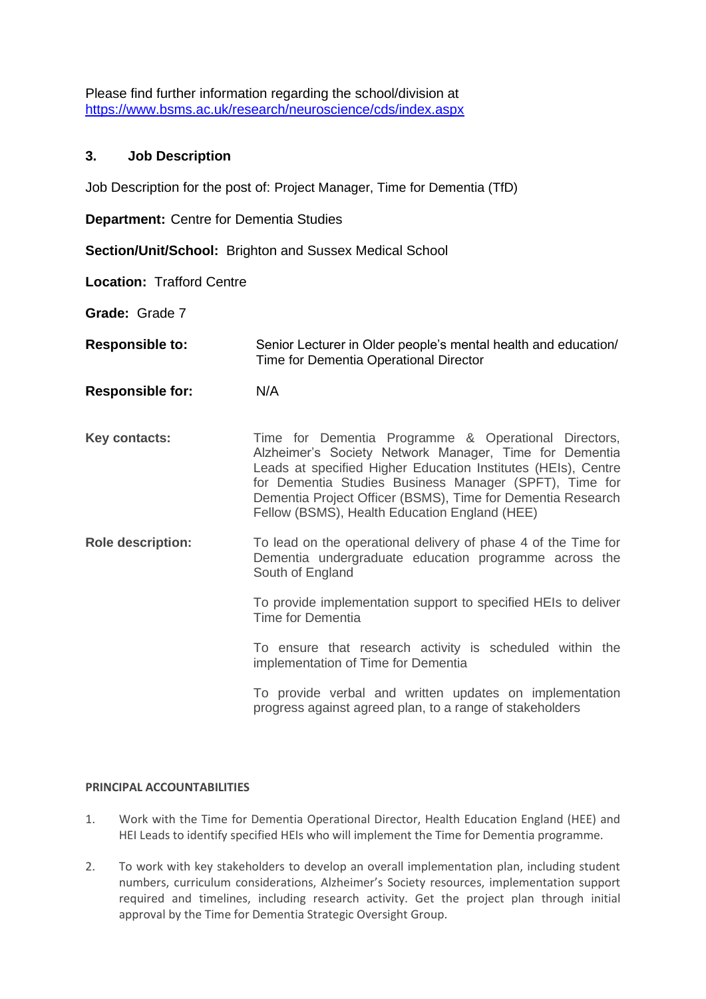Please find further information regarding the school/division at <https://www.bsms.ac.uk/research/neuroscience/cds/index.aspx>

## **3. Job Description**

Job Description for the post of: Project Manager, Time for Dementia (TfD)

**Department:** Centre for Dementia Studies

**Section/Unit/School:** Brighton and Sussex Medical School

**Location:** Trafford Centre

**Grade:** Grade 7

**Responsible to:** Senior Lecturer in Older people's mental health and education/ Time for Dementia Operational Director

- **Responsible for:** N/A
- Key contacts: Time for Dementia Programme & Operational Directors, Alzheimer's Society Network Manager, Time for Dementia Leads at specified Higher Education Institutes (HEIs), Centre for Dementia Studies Business Manager (SPFT), Time for Dementia Project Officer (BSMS), Time for Dementia Research Fellow (BSMS), Health Education England (HEE)
- **Role description:** To lead on the operational delivery of phase 4 of the Time for Dementia undergraduate education programme across the South of England

To provide implementation support to specified HEIs to deliver Time for Dementia

To ensure that research activity is scheduled within the implementation of Time for Dementia

To provide verbal and written updates on implementation progress against agreed plan, to a range of stakeholders

## **PRINCIPAL ACCOUNTABILITIES**

- 1. Work with the Time for Dementia Operational Director, Health Education England (HEE) and HEI Leads to identify specified HEIs who will implement the Time for Dementia programme.
- 2. To work with key stakeholders to develop an overall implementation plan, including student numbers, curriculum considerations, Alzheimer's Society resources, implementation support required and timelines, including research activity. Get the project plan through initial approval by the Time for Dementia Strategic Oversight Group.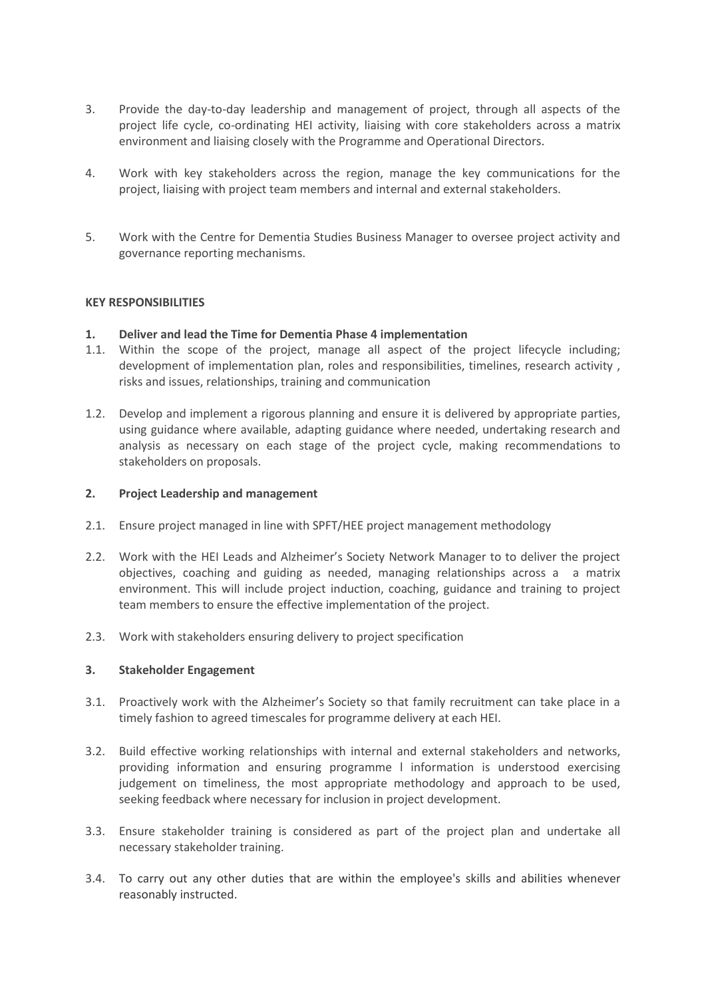- 3. Provide the day-to-day leadership and management of project, through all aspects of the project life cycle, co-ordinating HEI activity, liaising with core stakeholders across a matrix environment and liaising closely with the Programme and Operational Directors.
- 4. Work with key stakeholders across the region, manage the key communications for the project, liaising with project team members and internal and external stakeholders.
- 5. Work with the Centre for Dementia Studies Business Manager to oversee project activity and governance reporting mechanisms.

### **KEY RESPONSIBILITIES**

### **1. Deliver and lead the Time for Dementia Phase 4 implementation**

- 1.1. Within the scope of the project, manage all aspect of the project lifecycle including; development of implementation plan, roles and responsibilities, timelines, research activity , risks and issues, relationships, training and communication
- 1.2. Develop and implement a rigorous planning and ensure it is delivered by appropriate parties, using guidance where available, adapting guidance where needed, undertaking research and analysis as necessary on each stage of the project cycle, making recommendations to stakeholders on proposals.

#### **2. Project Leadership and management**

- 2.1. Ensure project managed in line with SPFT/HEE project management methodology
- 2.2. Work with the HEI Leads and Alzheimer's Society Network Manager to to deliver the project objectives, coaching and guiding as needed, managing relationships across a a matrix environment. This will include project induction, coaching, guidance and training to project team members to ensure the effective implementation of the project.
- 2.3. Work with stakeholders ensuring delivery to project specification

#### **3. Stakeholder Engagement**

- 3.1. Proactively work with the Alzheimer's Society so that family recruitment can take place in a timely fashion to agreed timescales for programme delivery at each HEI.
- 3.2. Build effective working relationships with internal and external stakeholders and networks, providing information and ensuring programme l information is understood exercising judgement on timeliness, the most appropriate methodology and approach to be used, seeking feedback where necessary for inclusion in project development.
- 3.3. Ensure stakeholder training is considered as part of the project plan and undertake all necessary stakeholder training.
- 3.4. To carry out any other duties that are within the employee's skills and abilities whenever reasonably instructed.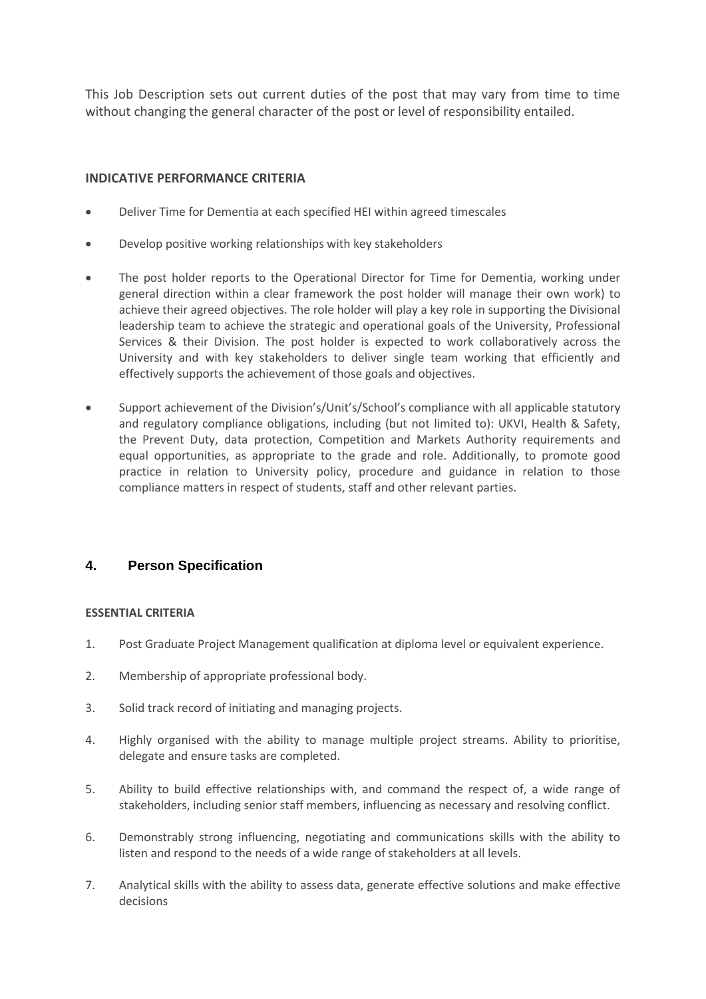This Job Description sets out current duties of the post that may vary from time to time without changing the general character of the post or level of responsibility entailed.

## **INDICATIVE PERFORMANCE CRITERIA**

- Deliver Time for Dementia at each specified HEI within agreed timescales
- Develop positive working relationships with key stakeholders
- The post holder reports to the Operational Director for Time for Dementia, working under general direction within a clear framework the post holder will manage their own work) to achieve their agreed objectives. The role holder will play a key role in supporting the Divisional leadership team to achieve the strategic and operational goals of the University, Professional Services & their Division. The post holder is expected to work collaboratively across the University and with key stakeholders to deliver single team working that efficiently and effectively supports the achievement of those goals and objectives.
- Support achievement of the Division's/Unit's/School's compliance with all applicable statutory and regulatory compliance obligations, including (but not limited to): UKVI, Health & Safety, the Prevent Duty, data protection, Competition and Markets Authority requirements and equal opportunities, as appropriate to the grade and role. Additionally, to promote good practice in relation to University policy, procedure and guidance in relation to those compliance matters in respect of students, staff and other relevant parties.

## **4. Person Specification**

## **ESSENTIAL CRITERIA**

- 1. Post Graduate Project Management qualification at diploma level or equivalent experience.
- 2. Membership of appropriate professional body.
- 3. Solid track record of initiating and managing projects.
- 4. Highly organised with the ability to manage multiple project streams. Ability to prioritise, delegate and ensure tasks are completed.
- 5. Ability to build effective relationships with, and command the respect of, a wide range of stakeholders, including senior staff members, influencing as necessary and resolving conflict.
- 6. Demonstrably strong influencing, negotiating and communications skills with the ability to listen and respond to the needs of a wide range of stakeholders at all levels.
- 7. Analytical skills with the ability to assess data, generate effective solutions and make effective decisions